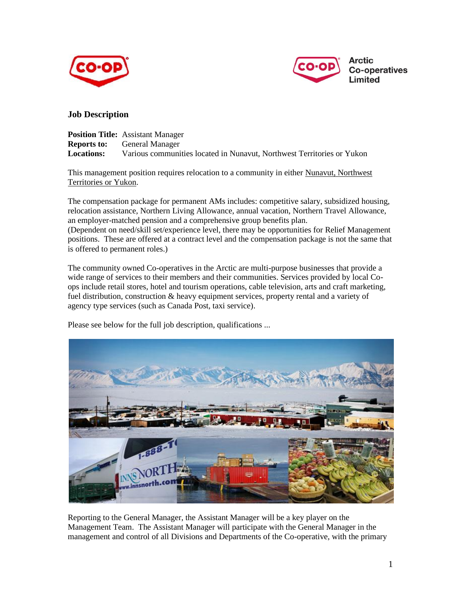



## **Job Description**

|                    | <b>Position Title:</b> Assistant Manager                               |
|--------------------|------------------------------------------------------------------------|
| <b>Reports to:</b> | General Manager                                                        |
| <b>Locations:</b>  | Various communities located in Nunavut, Northwest Territories or Yukon |

This management position requires relocation to a community in either Nunavut, Northwest Territories or Yukon.

The compensation package for permanent AMs includes: competitive salary, subsidized housing, relocation assistance, Northern Living Allowance, annual vacation, Northern Travel Allowance, an employer-matched pension and a comprehensive group benefits plan. (Dependent on need/skill set/experience level, there may be opportunities for Relief Management positions. These are offered at a contract level and the compensation package is not the same that is offered to permanent roles.)

The community owned Co-operatives in the Arctic are multi-purpose businesses that provide a wide range of services to their members and their communities. Services provided by local Coops include retail stores, hotel and tourism operations, cable television, arts and craft marketing, fuel distribution, construction & heavy equipment services, property rental and a variety of agency type services (such as Canada Post, taxi service).

Please see below for the full job description, qualifications ...



Reporting to the General Manager, the Assistant Manager will be a key player on the Management Team. The Assistant Manager will participate with the General Manager in the management and control of all Divisions and Departments of the Co-operative, with the primary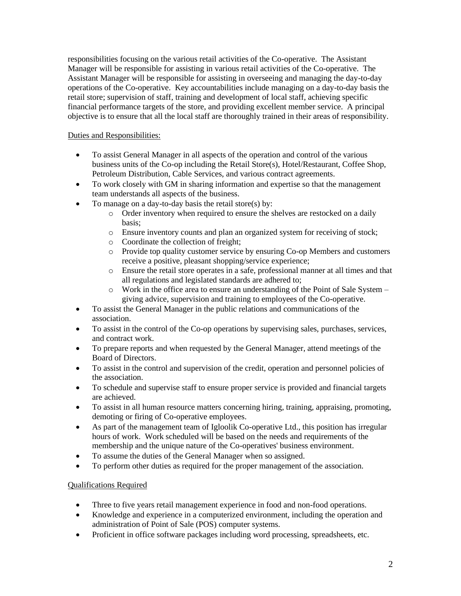responsibilities focusing on the various retail activities of the Co-operative. The Assistant Manager will be responsible for assisting in various retail activities of the Co-operative. The Assistant Manager will be responsible for assisting in overseeing and managing the day-to-day operations of the Co-operative. Key accountabilities include managing on a day-to-day basis the retail store; supervision of staff, training and development of local staff, achieving specific financial performance targets of the store, and providing excellent member service. A principal objective is to ensure that all the local staff are thoroughly trained in their areas of responsibility.

Duties and Responsibilities:

- To assist General Manager in all aspects of the operation and control of the various business units of the Co-op including the Retail Store(s), Hotel/Restaurant, Coffee Shop, Petroleum Distribution, Cable Services, and various contract agreements.
- To work closely with GM in sharing information and expertise so that the management team understands all aspects of the business.
- To manage on a day-to-day basis the retail store(s) by:
	- o Order inventory when required to ensure the shelves are restocked on a daily basis;
	- o Ensure inventory counts and plan an organized system for receiving of stock;
	- o Coordinate the collection of freight;
	- o Provide top quality customer service by ensuring Co-op Members and customers receive a positive, pleasant shopping/service experience;
	- o Ensure the retail store operates in a safe, professional manner at all times and that all regulations and legislated standards are adhered to;
	- o Work in the office area to ensure an understanding of the Point of Sale System giving advice, supervision and training to employees of the Co-operative.
- To assist the General Manager in the public relations and communications of the association.
- To assist in the control of the Co-op operations by supervising sales, purchases, services, and contract work.
- To prepare reports and when requested by the General Manager, attend meetings of the Board of Directors.
- To assist in the control and supervision of the credit, operation and personnel policies of the association.
- To schedule and supervise staff to ensure proper service is provided and financial targets are achieved.
- To assist in all human resource matters concerning hiring, training, appraising, promoting, demoting or firing of Co-operative employees.
- As part of the management team of Igloolik Co-operative Ltd., this position has irregular hours of work. Work scheduled will be based on the needs and requirements of the membership and the unique nature of the Co-operatives' business environment.
- To assume the duties of the General Manager when so assigned.
- To perform other duties as required for the proper management of the association.

## Qualifications Required

- Three to five years retail management experience in food and non-food operations.
- Knowledge and experience in a computerized environment, including the operation and administration of Point of Sale (POS) computer systems.
- Proficient in office software packages including word processing, spreadsheets, etc.